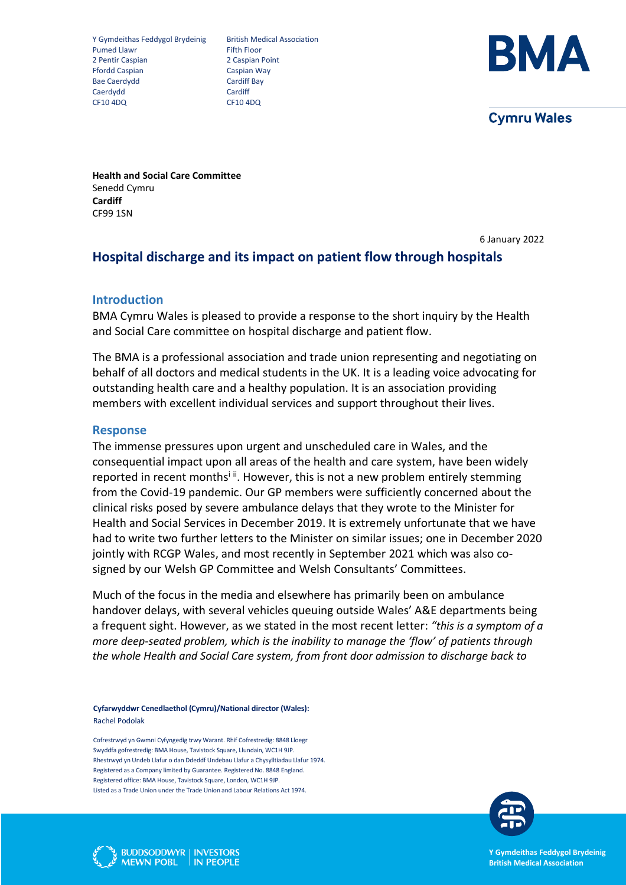Y Gymdeithas Feddygol Brydeinig British Medical Association<br>Pumed Llawr Fifth Floor Pumed Llawr 2 Pentir Caspian 2 Caspian Point Ffordd Caspian Caspian Way Bae Caerdydd<br>Caerdydd Caerdiff Bay<br>Caerdydd Cardiff Caerdydd CF10 4DQ CF10 4DQ



**Cymru Wales** 

**Health and Social Care Committee** Senedd Cymru **Cardiff** CF99 1SN

6 January 2022

# **Hospital discharge and its impact on patient flow through hospitals**

### **Introduction**

BMA Cymru Wales is pleased to provide a response to the short inquiry by the Health and Social Care committee on hospital discharge and patient flow.

The BMA is a professional association and trade union representing and negotiating on behalf of all doctors and medical students in the UK. It is a leading voice advocating for outstanding health care and a healthy population. It is an association providing members with excellent individual services and support throughout their lives.

## **Response**

The immense pressures upon urgent and unscheduled care in Wales, and the consequential impact upon all areas of the health and care system, have been widely reported in recent months<sup>i ii</sup>. However, this is not a new problem entirely stemming from the Covid-19 pandemic. Our GP members were sufficiently concerned about the clinical risks posed by severe ambulance delays that they wrote to the Minister for Health and Social Services in December 2019. It is extremely unfortunate that we have had to write two further letters to the Minister on similar issues; one in December 2020 jointly with RCGP Wales, and most recently in September 2021 which was also cosigned by our Welsh GP Committee and Welsh Consultants' Committees.

Much of the focus in the media and elsewhere has primarily been on ambulance handover delays, with several vehicles queuing outside Wales' A&E departments being a frequent sight. However, as we stated in the most recent letter: *"this is a symptom of a more deep-seated problem, which is the inability to manage the 'flow' of patients through the whole Health and Social Care system, from front door admission to discharge back to* 

**Cyfarwyddwr Cenedlaethol (Cymru)/National director (Wales):**  Rachel Podolak

Cofrestrwyd yn Gwmni Cyfyngedig trwy Warant. Rhif Cofrestredig: 8848 Lloegr Swyddfa gofrestredig: BMA House, Tavistock Square, Llundain, WC1H 9JP. Rhestrwyd yn Undeb Llafur o dan Ddeddf Undebau Llafur a Chysylltiadau Llafur 1974. Registered as a Company limited by Guarantee. Registered No. 8848 England. Registered office: BMA House, Tavistock Square, London, WC1H 9JP. Listed as a Trade Union under the Trade Union and Labour Relations Act 1974.





**Y Gymdeithas Feddygol Brydeinig British Medical Association**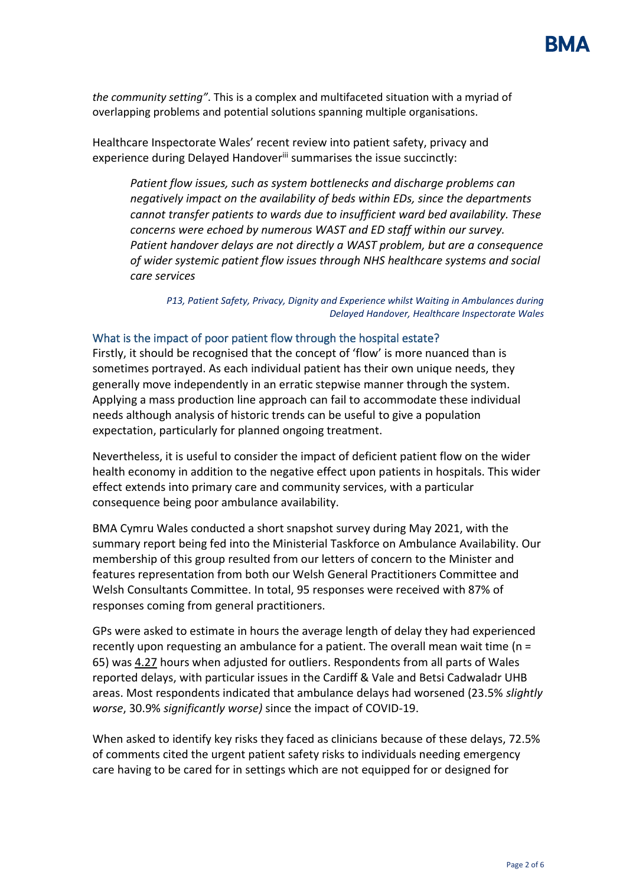*the community setting"*. This is a complex and multifaceted situation with a myriad of overlapping problems and potential solutions spanning multiple organisations.

Healthcare Inspectorate Wales' recent review into patient safety, privacy and experience during Delayed Handover<sup>iii</sup> summarises the issue succinctly:

*Patient flow issues, such as system bottlenecks and discharge problems can negatively impact on the availability of beds within EDs, since the departments cannot transfer patients to wards due to insufficient ward bed availability. These concerns were echoed by numerous WAST and ED staff within our survey. Patient handover delays are not directly a WAST problem, but are a consequence of wider systemic patient flow issues through NHS healthcare systems and social care services*

*P13, Patient Safety, Privacy, Dignity and Experience whilst Waiting in Ambulances during Delayed Handover, Healthcare Inspectorate Wales*

### What is the impact of poor patient flow through the hospital estate?

Firstly, it should be recognised that the concept of 'flow' is more nuanced than is sometimes portrayed. As each individual patient has their own unique needs, they generally move independently in an erratic stepwise manner through the system. Applying a mass production line approach can fail to accommodate these individual needs although analysis of historic trends can be useful to give a population expectation, particularly for planned ongoing treatment.

Nevertheless, it is useful to consider the impact of deficient patient flow on the wider health economy in addition to the negative effect upon patients in hospitals. This wider effect extends into primary care and community services, with a particular consequence being poor ambulance availability.

BMA Cymru Wales conducted a short snapshot survey during May 2021, with the summary report being fed into the Ministerial Taskforce on Ambulance Availability. Our membership of this group resulted from our letters of concern to the Minister and features representation from both our Welsh General Practitioners Committee and Welsh Consultants Committee. In total, 95 responses were received with 87% of responses coming from general practitioners.

GPs were asked to estimate in hours the average length of delay they had experienced recently upon requesting an ambulance for a patient. The overall mean wait time (n = 65) was 4.27 hours when adjusted for outliers. Respondents from all parts of Wales reported delays, with particular issues in the Cardiff & Vale and Betsi Cadwaladr UHB areas. Most respondents indicated that ambulance delays had worsened (23.5% *slightly worse*, 30.9% *significantly worse)* since the impact of COVID-19.

When asked to identify key risks they faced as clinicians because of these delays, 72.5% of comments cited the urgent patient safety risks to individuals needing emergency care having to be cared for in settings which are not equipped for or designed for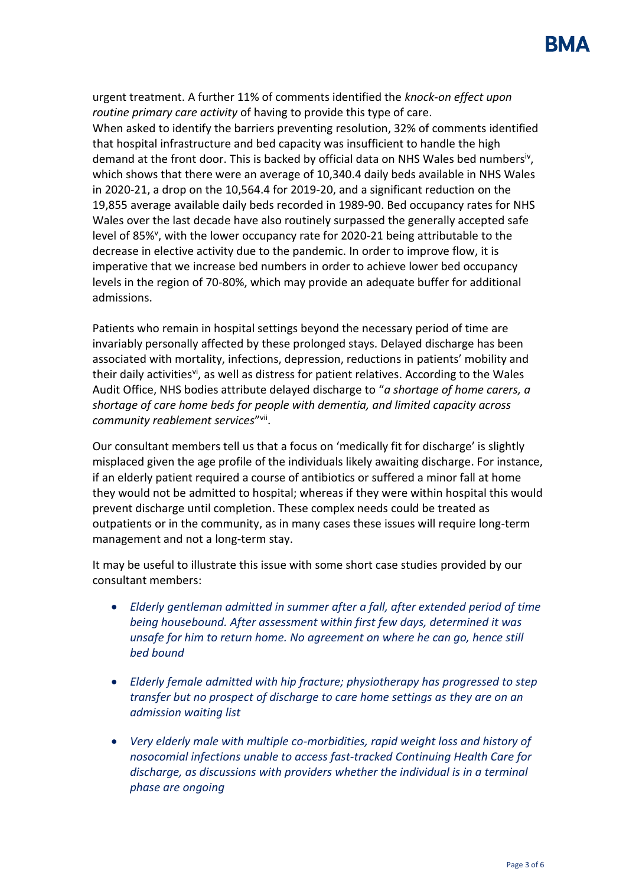urgent treatment. A further 11% of comments identified the *knock-on effect upon routine primary care activity* of having to provide this type of care. When asked to identify the barriers preventing resolution, 32% of comments identified that hospital infrastructure and bed capacity was insufficient to handle the high demand at the front door. This is backed by official data on NHS Wales bed numbers<sup>iv</sup>, which shows that there were an average of 10,340.4 daily beds available in NHS Wales in 2020-21, a drop on the 10,564.4 for 2019-20, and a significant reduction on the 19,855 average available daily beds recorded in 1989-90. Bed occupancy rates for NHS Wales over the last decade have also routinely surpassed the generally accepted safe level of 85%<sup>v</sup>, with the lower occupancy rate for 2020-21 being attributable to the decrease in elective activity due to the pandemic. In order to improve flow, it is imperative that we increase bed numbers in order to achieve lower bed occupancy levels in the region of 70-80%, which may provide an adequate buffer for additional admissions.

Patients who remain in hospital settings beyond the necessary period of time are invariably personally affected by these prolonged stays. Delayed discharge has been associated with mortality, infections, depression, reductions in patients' mobility and their daily activities<sup>vi</sup>, as well as distress for patient relatives. According to the Wales Audit Office, NHS bodies attribute delayed discharge to "*a shortage of home carers, a shortage of care home beds for people with dementia, and limited capacity across community reablement services*" vii .

Our consultant members tell us that a focus on 'medically fit for discharge' is slightly misplaced given the age profile of the individuals likely awaiting discharge. For instance, if an elderly patient required a course of antibiotics or suffered a minor fall at home they would not be admitted to hospital; whereas if they were within hospital this would prevent discharge until completion. These complex needs could be treated as outpatients or in the community, as in many cases these issues will require long-term management and not a long-term stay.

It may be useful to illustrate this issue with some short case studies provided by our consultant members:

- *Elderly gentleman admitted in summer after a fall, after extended period of time being housebound. After assessment within first few days, determined it was unsafe for him to return home. No agreement on where he can go, hence still bed bound*
- *Elderly female admitted with hip fracture; physiotherapy has progressed to step transfer but no prospect of discharge to care home settings as they are on an admission waiting list*
- *Very elderly male with multiple co-morbidities, rapid weight loss and history of nosocomial infections unable to access fast-tracked Continuing Health Care for discharge, as discussions with providers whether the individual is in a terminal phase are ongoing*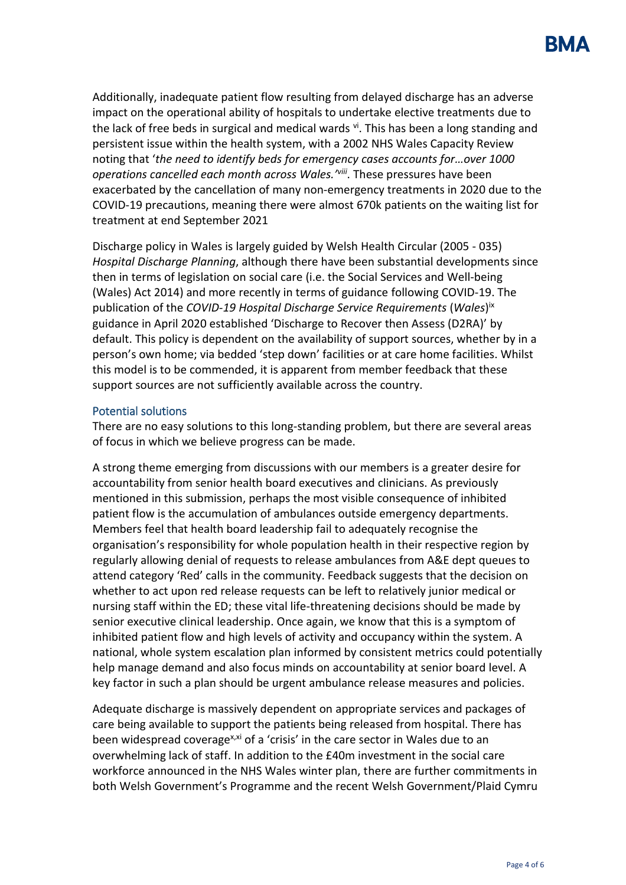Additionally, inadequate patient flow resulting from delayed discharge has an adverse impact on the operational ability of hospitals to undertake elective treatments due to the lack of free beds in surgical and medical wards <sup>vi</sup>. This has been a long standing and persistent issue within the health system, with a 2002 NHS Wales Capacity Review noting that '*the need to identify beds for emergency cases accounts for…over 1000 operations cancelled each month across Wales.' viii* . These pressures have been exacerbated by the cancellation of many non-emergency treatments in 2020 due to the COVID-19 precautions, meaning there were almost 670k patients on the waiting list for treatment at end September 2021

Discharge policy in Wales is largely guided by Welsh Health Circular (2005 - 035) *Hospital Discharge Planning*, although there have been substantial developments since then in terms of legislation on social care (i.e. the Social Services and Well-being (Wales) Act 2014) and more recently in terms of guidance following COVID-19. The publication of the *COVID-19 Hospital Discharge Service Requirements* (*Wales*) ix guidance in April 2020 established 'Discharge to Recover then Assess (D2RA)' by default. This policy is dependent on the availability of support sources, whether by in a person's own home; via bedded 'step down' facilities or at care home facilities. Whilst this model is to be commended, it is apparent from member feedback that these support sources are not sufficiently available across the country.

## Potential solutions

There are no easy solutions to this long-standing problem, but there are several areas of focus in which we believe progress can be made.

A strong theme emerging from discussions with our members is a greater desire for accountability from senior health board executives and clinicians. As previously mentioned in this submission, perhaps the most visible consequence of inhibited patient flow is the accumulation of ambulances outside emergency departments. Members feel that health board leadership fail to adequately recognise the organisation's responsibility for whole population health in their respective region by regularly allowing denial of requests to release ambulances from A&E dept queues to attend category 'Red' calls in the community. Feedback suggests that the decision on whether to act upon red release requests can be left to relatively junior medical or nursing staff within the ED; these vital life-threatening decisions should be made by senior executive clinical leadership. Once again, we know that this is a symptom of inhibited patient flow and high levels of activity and occupancy within the system. A national, whole system escalation plan informed by consistent metrics could potentially help manage demand and also focus minds on accountability at senior board level. A key factor in such a plan should be urgent ambulance release measures and policies.

Adequate discharge is massively dependent on appropriate services and packages of care being available to support the patients being released from hospital. There has been widespread coverage<sup>x,xi</sup> of a 'crisis' in the care sector in Wales due to an overwhelming lack of staff. In addition to the £40m investment in the social care workforce announced in the NHS Wales winter plan, there are further commitments in both Welsh Government's Programme and the recent Welsh Government/Plaid Cymru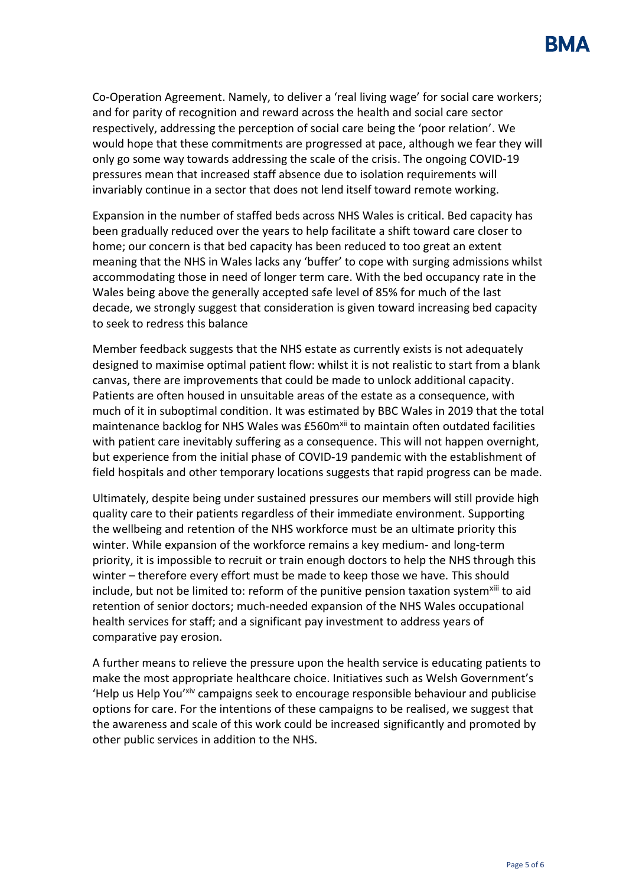Co-Operation Agreement. Namely, to deliver a 'real living wage' for social care workers; and for parity of recognition and reward across the health and social care sector respectively, addressing the perception of social care being the 'poor relation'. We would hope that these commitments are progressed at pace, although we fear they will only go some way towards addressing the scale of the crisis. The ongoing COVID-19 pressures mean that increased staff absence due to isolation requirements will invariably continue in a sector that does not lend itself toward remote working.

Expansion in the number of staffed beds across NHS Wales is critical. Bed capacity has been gradually reduced over the years to help facilitate a shift toward care closer to home; our concern is that bed capacity has been reduced to too great an extent meaning that the NHS in Wales lacks any 'buffer' to cope with surging admissions whilst accommodating those in need of longer term care. With the bed occupancy rate in the Wales being above the generally accepted safe level of 85% for much of the last decade, we strongly suggest that consideration is given toward increasing bed capacity to seek to redress this balance

Member feedback suggests that the NHS estate as currently exists is not adequately designed to maximise optimal patient flow: whilst it is not realistic to start from a blank canvas, there are improvements that could be made to unlock additional capacity. Patients are often housed in unsuitable areas of the estate as a consequence, with much of it in suboptimal condition. It was estimated by BBC Wales in 2019 that the total maintenance backlog for NHS Wales was £560m<sup>xii</sup> to maintain often outdated facilities with patient care inevitably suffering as a consequence. This will not happen overnight, but experience from the initial phase of COVID-19 pandemic with the establishment of field hospitals and other temporary locations suggests that rapid progress can be made.

Ultimately, despite being under sustained pressures our members will still provide high quality care to their patients regardless of their immediate environment. Supporting the wellbeing and retention of the NHS workforce must be an ultimate priority this winter. While expansion of the workforce remains a key medium- and long-term priority, it is impossible to recruit or train enough doctors to help the NHS through this winter – therefore every effort must be made to keep those we have. This should include, but not be limited to: reform of the punitive pension taxation system<sup>xiii</sup> to aid retention of senior doctors; much-needed expansion of the NHS Wales occupational health services for staff; and a significant pay investment to address years of comparative pay erosion.

A further means to relieve the pressure upon the health service is educating patients to make the most appropriate healthcare choice. Initiatives such as Welsh Government's 'Help us Help You'xiv campaigns seek to encourage responsible behaviour and publicise options for care. For the intentions of these campaigns to be realised, we suggest that the awareness and scale of this work could be increased significantly and promoted by other public services in addition to the NHS.